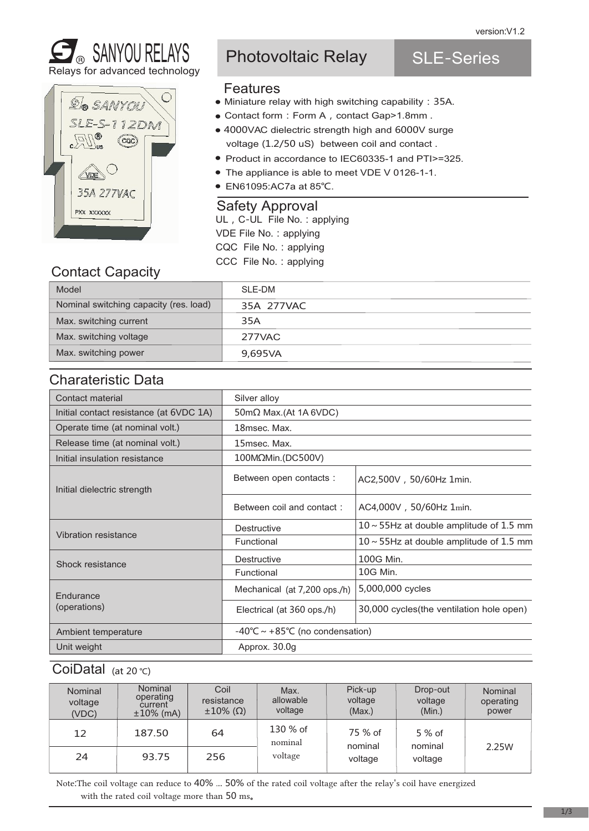SLE-Series





# Photovoltaic Relay

# Features

- Miniature relay with high switching capability: 35A.
- Contact form: Form A, contact Gap>1.8mm.
- 4000VAC dielectric strength high and 6000V surge voltage (1.2/50 uS) between coil and contact .
- Product in accordance to IEC60335-1 and PTI>=325.
- The appliance is able to meet VDE V 0126-1-1.
- EN61095:AC7a at 85°C.

#### Safety Approval

UL, C-UL File No.: applying VDE File No.: applying CQC File No.:applying CCC File No.:applying

# Contact Capacity

| Model                                  | SLE-DM     |
|----------------------------------------|------------|
| Nominal switching capacity (res. load) | 35A 277VAC |
| Max. switching current                 | 35A        |
| Max. switching voltage                 | 277VAC     |
| Max. switching power                   | 9,695VA    |

#### Charateristic Data

| Contact material                        | Silver alloy                              |                                               |  |  |
|-----------------------------------------|-------------------------------------------|-----------------------------------------------|--|--|
| Initial contact resistance (at 6VDC 1A) | $50 \text{m}\Omega$ Max.(At 1A 6VDC)      |                                               |  |  |
| Operate time (at nominal volt.)         | 18msec. Max.                              |                                               |  |  |
| Release time (at nominal volt.)         | 15msec. Max.                              |                                               |  |  |
| Initial insulation resistance           | 100MΩMin.(DC500V)                         |                                               |  |  |
| Initial dielectric strength             | Between open contacts :                   | AC2,500V, 50/60Hz 1min.                       |  |  |
|                                         | Between coil and contact:                 | AC4,000V, 50/60Hz 1min.                       |  |  |
|                                         | <b>Destructive</b>                        | $10 \sim 55$ Hz at double amplitude of 1.5 mm |  |  |
| Vibration resistance                    | Functional                                | $10 \sim 55$ Hz at double amplitude of 1.5 mm |  |  |
| Shock resistance                        | Destructive                               | 100G Min.                                     |  |  |
|                                         | Functional                                | 10G Min.                                      |  |  |
| Endurance                               | Mechanical (at 7,200 ops./h)              | 5,000,000 cycles                              |  |  |
| (operations)                            | Electrical (at 360 ops./h)                | 30,000 cycles (the ventilation hole open)     |  |  |
| Ambient temperature                     | $-40^{\circ}$ C ~ +85°C (no condensation) |                                               |  |  |
| Unit weight                             | Approx. 30.0g                             |                                               |  |  |

#### CoiDatal (at 20 ℃)

| <b>Nominal</b><br>voltage<br>(VDC) | <b>Nominal</b><br>operating<br>current<br>$±10\%$ (mA) | Coil<br>resistance<br>$\pm 10\%$ ( $\Omega$ ) | Max.<br>allowable<br>voltage | Pick-up<br>voltage<br>(Max.) | Drop-out<br>voltage<br>(Min.) | Nominal<br>operating<br>power |
|------------------------------------|--------------------------------------------------------|-----------------------------------------------|------------------------------|------------------------------|-------------------------------|-------------------------------|
| 12                                 | 187.50                                                 | 64                                            | 130 % of<br>nominal          | 75 % of<br>nominal           | $5%$ of<br>nominal            |                               |
| 24                                 | 93.75                                                  | 256                                           | voltage                      | voltage                      | voltage                       | 2.25 <sub>W</sub>             |

Note:The coil voltage can reduce to 40% ... 50% of the rated coil voltage after the relay's coil have energized with the rated coil voltage more than 50 ms。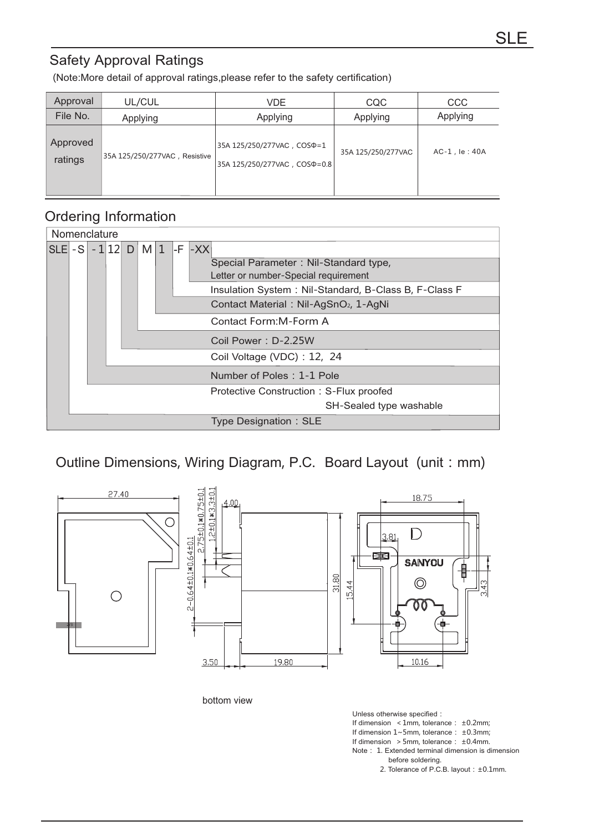## Safety Approval Ratings

(Note:More detail of approval ratings,please refer to the safety certification)

| Approval            | UL/CUL                        | VDE.                                                                    | <b>CQC</b>         | <b>CCC</b>        |  |
|---------------------|-------------------------------|-------------------------------------------------------------------------|--------------------|-------------------|--|
| File No.            | Applying                      | Applying                                                                | Applying           | Applying          |  |
| Approved<br>ratings | 35A 125/250/277VAC, Resistive | 35A 125/250/277VAC, COS $D = 1$<br>35A 125/250/277VAC, COS $\Phi$ = 0.8 | 35A 125/250/277VAC | $AC-1$ , le : 40A |  |

#### Ordering Information

| Nomenclature |                                         |  |  |  |                     |  |  |                          |                                                       |
|--------------|-----------------------------------------|--|--|--|---------------------|--|--|--------------------------|-------------------------------------------------------|
| ISLEI - S I  |                                         |  |  |  | $-1$  12  D   M   1 |  |  | $\left  -F \right  - XX$ |                                                       |
|              |                                         |  |  |  |                     |  |  |                          | Special Parameter: Nil-Standard type,                 |
|              |                                         |  |  |  |                     |  |  |                          | Letter or number-Special requirement                  |
|              |                                         |  |  |  |                     |  |  |                          | Insulation System: Nil-Standard, B-Class B, F-Class F |
|              |                                         |  |  |  |                     |  |  |                          | Contact Material: Nil-AgSnO <sub>2</sub> , 1-AgNi     |
|              |                                         |  |  |  |                     |  |  |                          | Contact Form: M-Form A                                |
|              |                                         |  |  |  |                     |  |  |                          | Coil Power: D-2.25W                                   |
|              |                                         |  |  |  |                     |  |  |                          | Coil Voltage (VDC) : 12, 24                           |
|              |                                         |  |  |  |                     |  |  |                          | Number of Poles: 1-1 Pole                             |
|              | Protective Construction: S-Flux proofed |  |  |  |                     |  |  |                          |                                                       |
|              |                                         |  |  |  |                     |  |  |                          | SH-Sealed type washable                               |
|              |                                         |  |  |  |                     |  |  |                          | Type Designation: SLE                                 |

### Outline Dimensions, Wiring Diagram, P.C. Board Layout (unit: mm)



bottom view

Unless otherwise specified: If dimension  $\leq 1$ mm, tolerance:  $\pm 0.2$ mm; If dimension  $1 \sim 5$ mm, tolerance:  $\pm 0.3$ mm; If dimension  $>5$ mm, tolerance:  $\pm 0.4$ mm. Note: 1. Extended terminal dimension is dimension before soldering.

2. Tolerance of P.C.B. layout: ±0.1mm.